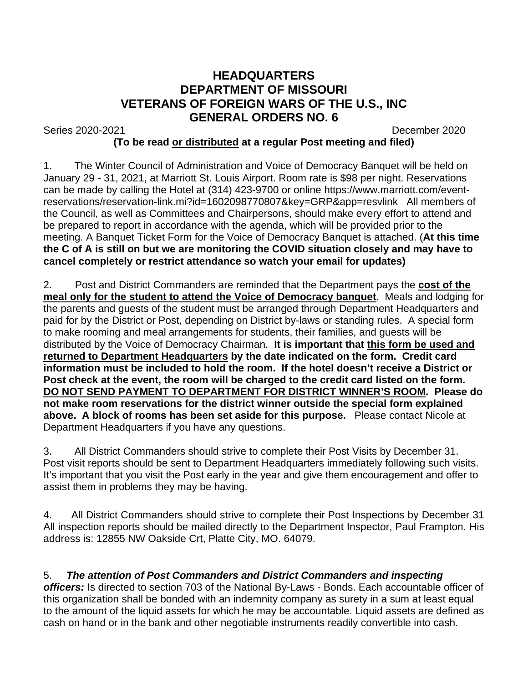## **HEADQUARTERS DEPARTMENT OF MISSOURI VETERANS OF FOREIGN WARS OF THE U.S., INC GENERAL ORDERS NO. 6**

Series 2020-2021 December 2020

## **(To be read or distributed at a regular Post meeting and filed)**

1. The Winter Council of Administration and Voice of Democracy Banquet will be held on January 29 - 31, 2021, at Marriott St. Louis Airport. Room rate is \$98 per night. Reservations can be made by calling the Hotel at (314) 423-9700 or online https://www.marriott.com/eventreservations/reservation-link.mi?id=1602098770807&key=GRP&app=resvlink All members of the Council, as well as Committees and Chairpersons, should make every effort to attend and be prepared to report in accordance with the agenda, which will be provided prior to the meeting. A Banquet Ticket Form for the Voice of Democracy Banquet is attached. (**At this time the C of A is still on but we are monitoring the COVID situation closely and may have to cancel completely or restrict attendance so watch your email for updates)**

2. Post and District Commanders are reminded that the Department pays the **cost of the meal only for the student to attend the Voice of Democracy banquet**. Meals and lodging for the parents and guests of the student must be arranged through Department Headquarters and paid for by the District or Post, depending on District by-laws or standing rules. A special form to make rooming and meal arrangements for students, their families, and guests will be distributed by the Voice of Democracy Chairman. **It is important that this form be used and returned to Department Headquarters by the date indicated on the form. Credit card information must be included to hold the room. If the hotel doesn't receive a District or Post check at the event, the room will be charged to the credit card listed on the form. DO NOT SEND PAYMENT TO DEPARTMENT FOR DISTRICT WINNER'S ROOM. Please do not make room reservations for the district winner outside the special form explained above. A block of rooms has been set aside for this purpose.** Please contact Nicole at Department Headquarters if you have any questions.

3. All District Commanders should strive to complete their Post Visits by December 31. Post visit reports should be sent to Department Headquarters immediately following such visits. It's important that you visit the Post early in the year and give them encouragement and offer to assist them in problems they may be having.

4. All District Commanders should strive to complete their Post Inspections by December 31 All inspection reports should be mailed directly to the Department Inspector, Paul Frampton. His address is: 12855 NW Oakside Crt, Platte City, MO. 64079.

## 5. *The attention of Post Commanders and District Commanders and inspecting*

*officers:* Is directed to section 703 of the National By-Laws - Bonds. Each accountable officer of this organization shall be bonded with an indemnity company as surety in a sum at least equal to the amount of the liquid assets for which he may be accountable. Liquid assets are defined as cash on hand or in the bank and other negotiable instruments readily convertible into cash.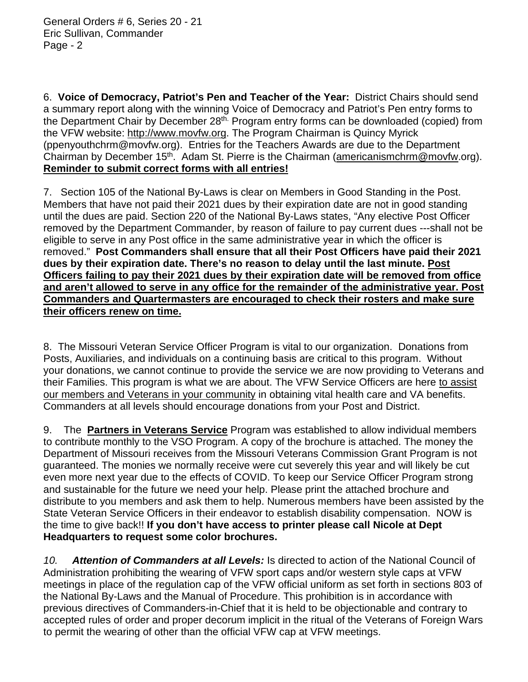6. **Voice of Democracy, Patriot's Pen and Teacher of the Year:** District Chairs should send a summary report along with the winning Voice of Democracy and Patriot's Pen entry forms to the Department Chair by December 28<sup>th.</sup> Program entry forms can be downloaded (copied) from the VFW website: [http://www.movfw.org.](http://www.movfw.org/) The Program Chairman is Quincy Myrick (ppenyouthchrm@movfw.org). Entries for the Teachers Awards are due to the Department Chairman by December 15<sup>th</sup>. Adam St. Pierre is the Chairman [\(americanismchrm@movfw.](mailto:americanismchrm@movfw)org). **Reminder to submit correct forms with all entries!**

7. Section 105 of the National By-Laws is clear on Members in Good Standing in the Post. Members that have not paid their 2021 dues by their expiration date are not in good standing until the dues are paid. Section 220 of the National By-Laws states, "Any elective Post Officer removed by the Department Commander, by reason of failure to pay current dues ---shall not be eligible to serve in any Post office in the same administrative year in which the officer is removed." **Post Commanders shall ensure that all their Post Officers have paid their 2021 dues by their expiration date. There's no reason to delay until the last minute. Post Officers failing to pay their 2021 dues by their expiration date will be removed from office and aren't allowed to serve in any office for the remainder of the administrative year. Post Commanders and Quartermasters are encouraged to check their rosters and make sure their officers renew on time.**

8. The Missouri Veteran Service Officer Program is vital to our organization. Donations from Posts, Auxiliaries, and individuals on a continuing basis are critical to this program. Without your donations, we cannot continue to provide the service we are now providing to Veterans and their Families. This program is what we are about. The VFW Service Officers are here to assist our members and Veterans in your community in obtaining vital health care and VA benefits. Commanders at all levels should encourage donations from your Post and District.

9. The **Partners in Veterans Service** Program was established to allow individual members to contribute monthly to the VSO Program. A copy of the brochure is attached. The money the Department of Missouri receives from the Missouri Veterans Commission Grant Program is not guaranteed. The monies we normally receive were cut severely this year and will likely be cut even more next year due to the effects of COVID. To keep our Service Officer Program strong and sustainable for the future we need your help. Please print the attached brochure and distribute to you members and ask them to help. Numerous members have been assisted by the State Veteran Service Officers in their endeavor to establish disability compensation. NOW is the time to give back!! **If you don't have access to printer please call Nicole at Dept Headquarters to request some color brochures.**

*10. Attention of Commanders at all Levels:* Is directed to action of the National Council of Administration prohibiting the wearing of VFW sport caps and/or western style caps at VFW meetings in place of the regulation cap of the VFW official uniform as set forth in sections 803 of the National By-Laws and the Manual of Procedure. This prohibition is in accordance with previous directives of Commanders-in-Chief that it is held to be objectionable and contrary to accepted rules of order and proper decorum implicit in the ritual of the Veterans of Foreign Wars to permit the wearing of other than the official VFW cap at VFW meetings.